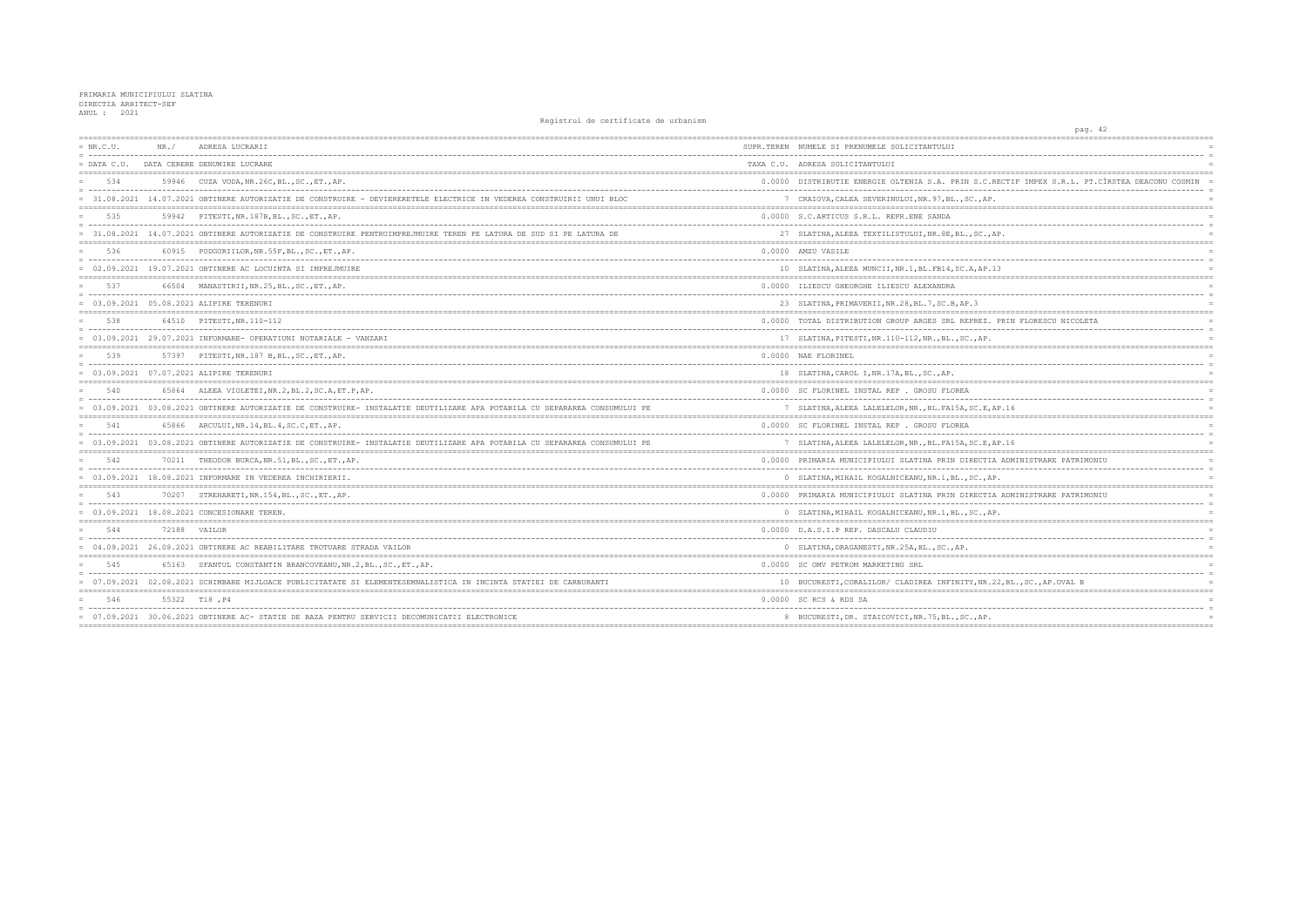| $= NR.C.U.$   | NR. / | ADRESA LUCRARII                                                                                                            | SUPR.TEREN NUMELE SI PRENUMELE SOLICITANTULUI                              |
|---------------|-------|----------------------------------------------------------------------------------------------------------------------------|----------------------------------------------------------------------------|
| $=$ DATA C.U. |       | DATA CERERE DENUMIRE LUCRARE                                                                                               | TAXA C.U. ADRESA SOLICITANTULUI                                            |
| 534           |       | 59946 CUZA VODA, NR. 26C, BL., SC., ET., AP.                                                                               | 0.0000 DISTRIBUTIE ENERGIE OLTENIA S.A. PRIN S.C                           |
|               |       | = 31.08.2021 14.07.2021 OBTINERE AUTORIZATIE DE CONSTRUIRE - DEVIERERETELE ELECTRICE IN VEDEREA CONSTRUIRII UNUI BLOC      | 7 CRAIOVA, CALEA SEVERINULUI, NR. 97, BL., SC., A                          |
| 535           |       | 59942 PITESTI, NR. 187B, BL., SC., ET., AP.                                                                                | 0.0000 S.C.ARTICUS S.R.L. REPR.ENE SANDA                                   |
|               |       | = 31.08.2021 14.07.2021 OBTINERE AUTORIZATIE DE CONSTRUIRE PENTRUIMPREJMUIRE TEREN PE LATURA DE SUD SI PE LATURA DE        | 27 SLATINA, ALEEA TEXTILISTULUI, NR. 8E, BL., SC.                          |
| 536           |       | 60915 PODGORIILOR, NR. 55F, BL., SC., ET., AP.<br>= concertational contract contract contract contract concertation        | 0.0000 AMZU VASILE                                                         |
|               |       | $= 02.09.2021$ 19.07.2021 OBTINERE AC LOCUINTA SI IMPREJMUIRE                                                              | 10 SLATINA, ALEEA MUNCII, NR. 1, BL. FB14, SC. A, AP                       |
| 537           |       | 66504 MANASTIRII, NR.25, BL., SC., ET., AP.                                                                                | 0.0000 ILIESCU GHEORGHE ILIESCU ALEXANDRA                                  |
|               |       | = 03.09.2021 05.08.2021 ALIPIRE TERENURI                                                                                   | 23 SLATINA, PRIMAVERII, NR. 28, BL. 7, SC. B, AP. 3                        |
| 538           |       | 64510 PITESTI, NR. 110-112                                                                                                 | 0.0000 TOTAL DISTRIBUTION GROUP ARGES SRL REPREZ                           |
|               |       | $= 03.09.2021$ 29.07.2021 INFORMARE- OPERATIUNI NOTARIALE - VANZARI                                                        | 17 SLATINA, PITESTI, NR.110-112, NR., BL., SC., AP                         |
| 539           |       | 57397 PITESTI, NR. 187 B, BL., SC., ET., AP.                                                                               | 0.0000 NAE FLORINEL                                                        |
|               |       | = 03.09.2021 07.07.2021 ALIPIRE TERENURI                                                                                   | 18 SLATINA, CAROL I, NR. 17A, BL., SC., AP.                                |
| 540           |       | 65864 ALEEA VIOLETEI, NR. 2, BL. 2, SC. A, ET. P, AP.                                                                      | 0.0000 SC FLORINEL INSTAL REP . GROSU FLOREA                               |
|               |       | = 03.09.2021 03.08.2021 OBTINERE AUTORIZATIE DE CONSTRUIRE- INSTALATIE DEUTILIZARE APA POTABILA CU SEPARAREA CONSUMULUI PE | 7 SLATINA, ALEEA LALELELOR, NR., BL. FA15A, SC. E                          |
| 541           |       | 65866 ARCULUI, NR. 14, BL. 4, SC. C, ET., AP.                                                                              | 0.0000 SC FLORINEL INSTAL REP . GROSU FLOREA                               |
|               |       | = 03.09.2021 03.08.2021 OBTINERE AUTORIZATIE DE CONSTRUIRE- INSTALATIE DEUTILIZARE APA POTABILA CU SEPARAREA CONSUMULUI PE | 7 SLATINA, ALEEA LALELELOR, NR., BL. FA15A, SC. E                          |
| 542           |       | 70211 THEODOR BURCA, NR.51, BL., SC., ET., AP.                                                                             | 0.0000 PRIMARIA MUNICIPIULUI SLATINA PRIN DIRECT                           |
|               |       | $= 03.09.2021$ 18.08.2021 INFORMARE IN VEDEREA INCHIRIERII.                                                                | 0 SLATINA, MIHAIL KOGALNICEANU, NR. 1, BL., SC.,                           |
| 543           |       | 70207 STREHARETI, NR. 154, BL., SC., ET., AP.                                                                              | 0.0000 PRIMARIA MUNICIPIULUI SLATINA PRIN DIRECT                           |
|               |       | = 03.09.2021 18.08.2021 CONCESIONARE TEREN.                                                                                | 0 SLATINA, MIHAIL KOGALNICEANU, NR.1, BL., SC.,                            |
| 544           |       | 72188 VAILOR                                                                                                               | 0.0000 D.A.S.I.P REP. DASCALU CLAUDIU<br>_________________________________ |
|               |       | 04.09.2021 26.08.2021 OBTINERE AC REABILITARE TROTUARE STRADA VAILOR                                                       | 0 SLATINA, DRAGANESTI, NR. 25A, BL., SC., AP.                              |
| 545           |       | 65163 SFANTUL CONSTANTIN BRANCOVEANU, NR. 2, BL., SC., ET., AP.                                                            | 0.0000 SC OMV PETROM MARKETING SRL                                         |
|               |       | = 07.09.2021 02.08.2021 SCHIMBARE MIJLOACE PUBLICITATATE SI ELEMENTESEMNALISTICA IN INCINTA STATIEI DE CARBURANTI          | 10 BUCURESTI, CORALILOR/ CLADIREA INFINITY, NR                             |
| 546           |       | 55322 T18, P4                                                                                                              | 0.0000 SC RCS & RDS SA                                                     |
|               |       | = 07.09.2021 30.06.2021 OBTINERE AC- STATIE DE BAZA PENTRU SERVICII DECOMUNICATII ELECTRONICE                              | 8 BUCURESTI, DR. STAICOVICI, NR. 75, BL., SC., AP                          |
|               |       |                                                                                                                            |                                                                            |

| pag. 42                                                  |                      |
|----------------------------------------------------------|----------------------|
|                                                          |                      |
|                                                          | $\equiv$             |
|                                                          |                      |
| .RECTIF IMPEX S.R.L. PT.CÎRSTEA DEACONU COSMIN           | $\overline{a}$       |
| Ρ.                                                       | $\equiv$             |
| =========                                                | $=$                  |
| ---------                                                | E                    |
| , $AP$ .                                                 |                      |
|                                                          |                      |
|                                                          |                      |
| .13<br>------------------------------                    | E                    |
|                                                          |                      |
|                                                          | Ë                    |
|                                                          |                      |
| PRIN FLORESCU NICOLETA                                   | $\equiv$<br>E        |
|                                                          |                      |
|                                                          | $\overline{a}$       |
|                                                          | $\equiv$             |
|                                                          | Ξ<br>$=$             |
|                                                          | $\overline{a}$       |
| .                                                        | $\equiv$             |
| , AP.16                                                  | $\equiv$<br>$=$      |
|                                                          |                      |
| AP.16                                                    | $\equiv$<br>$\equiv$ |
|                                                          |                      |
| IA ADMINISTRARE PATRIMONIU<br>-------------------------- | $\equiv$             |
| AP.                                                      | $\overline{a}$       |
| IA ADMINISTRARE PATRIMONIU                               | $=$ $=$              |
| $- - -$                                                  | $\overline{a}$       |
| AP.<br>--------------------------------------            |                      |
|                                                          | $\equiv$             |
|                                                          | $\equiv$<br>Ξ        |
|                                                          | $=$                  |
|                                                          | $\equiv$<br>$\equiv$ |
| .22, BL., SC., AP. OVAL B                                |                      |
|                                                          |                      |
|                                                          |                      |
|                                                          |                      |
|                                                          |                      |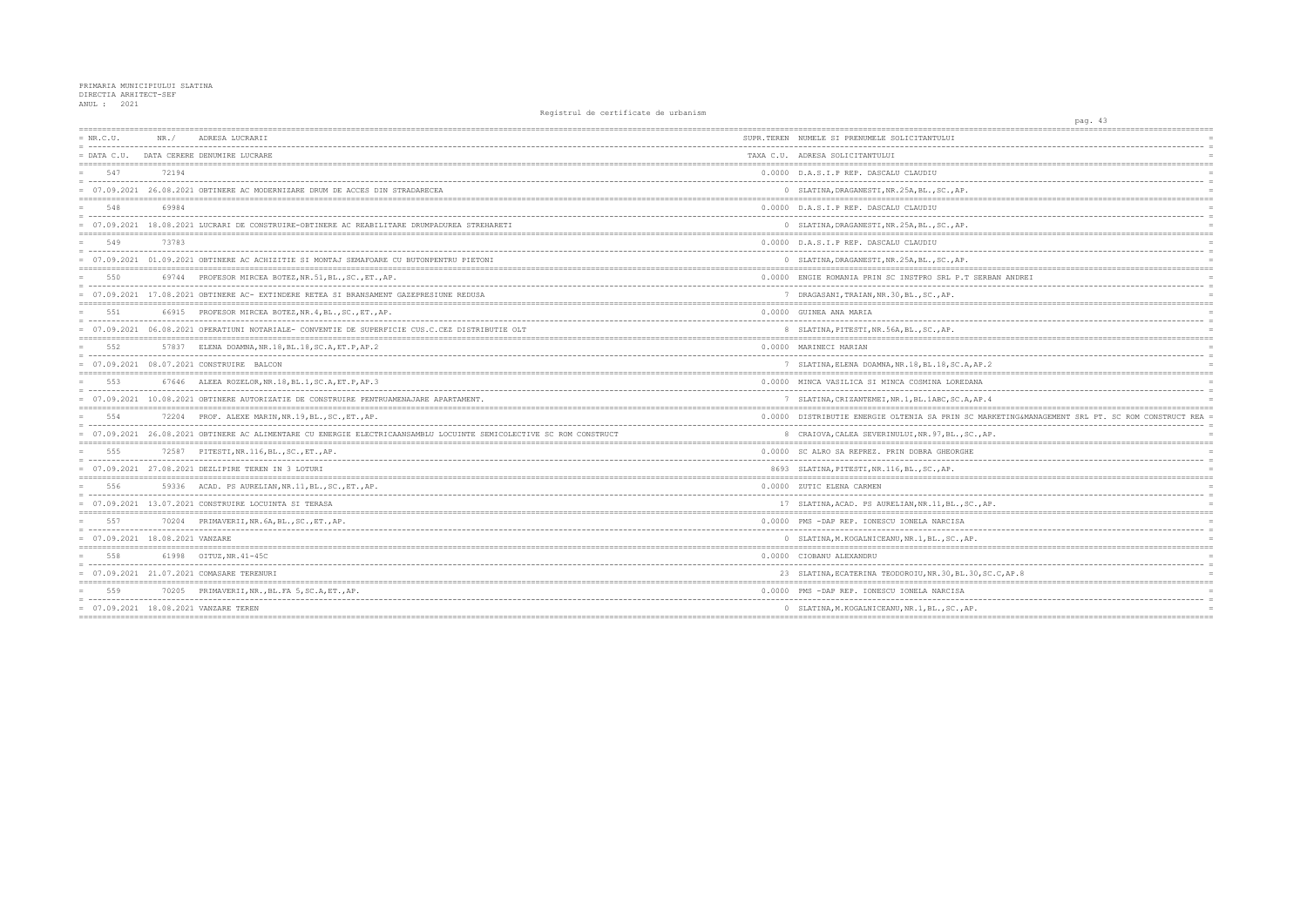| $= NR.C.U.$                       | NR. / | ADRESA LUCRARII                                                                                                   | SUPR.TEREN NUMELE SI PRENUMELE SOLICITANTULUI         |
|-----------------------------------|-------|-------------------------------------------------------------------------------------------------------------------|-------------------------------------------------------|
| $=$ DATA C.U.                     |       | DATA CERERE DENUMIRE LUCRARE                                                                                      | TAXA C.U. ADRESA SOLICITANTULUI                       |
| 547                               | 72194 |                                                                                                                   | 0.0000 D.A.S.I.P REP. DASCALU CLAUDIU                 |
|                                   |       | = 07.09.2021 26.08.2021 OBTINERE AC MODERNIZARE DRUM DE ACCES DIN STRADARECEA                                     | 0 SLATINA, DRAGANESTI, NR. 25A, BL., SC., AP.         |
| 548                               | 69984 |                                                                                                                   | 0.0000 D.A.S.I.P REP. DASCALU CLAUDIU                 |
|                                   |       | 07.09.2021 18.08.2021 LUCRARI DE CONSTRUIRE-OBTINERE AC REABILITARE DRUMPADUREA STREHARETI                        | 0 SLATINA, DRAGANESTI, NR. 25A, BL., SC., AP.         |
| 549                               | 73783 |                                                                                                                   | 0.0000 D.A.S.I.P REP. DASCALU CLAUDIU                 |
|                                   |       | = 07.09.2021 01.09.2021 OBTINERE AC ACHIZITIE SI MONTAJ SEMAFOARE CU BUTONPENTRU PIETONI                          | 0 SLATINA, DRAGANESTI, NR. 25A, BL., SC., AP.         |
| 550                               | 69744 | PROFESOR MIRCEA BOTEZ, NR.51, BL., SC., ET., AP.                                                                  | 0.0000 ENGIE ROMANIA PRIN SC INSTPRO SRL P.T SERE     |
|                                   |       | = 07.09.2021 17.08.2021 OBTINERE AC- EXTINDERE RETEA SI BRANSAMENT GAZEPRESIUNE REDUSA                            | 7 DRAGASANI, TRAIAN, NR.30, BL., SC., AP.             |
| 551                               |       | 66915 PROFESOR MIRCEA BOTEZ, NR. 4, BL., SC., ET., AP.                                                            | 0.0000 GUINEA ANA MARIA                               |
|                                   |       | = 07.09.2021 06.08.2021 OPERATIUNI NOTARIALE- CONVENTIE DE SUPERFICIE CUS.C.CEZ DISTRIBUTIE OLT                   | 8 SLATINA, PITESTI, NR.56A, BL., SC., AP.             |
| 552                               |       | 57837 ELENA DOAMNA, NR.18, BL.18, SC.A, ET.P, AP.2                                                                | 0.0000 MARINECI MARIAN                                |
|                                   |       | 07.09.2021 08.07.2021 CONSTRUIRE BALCON                                                                           | 7 SLATINA, ELENA DOAMNA, NR. 18, BL. 18, SC. A, AP. 2 |
| 553                               |       | 67646 ALEEA ROZELOR, NR.18, BL.1, SC.A, ET.P, AP.3                                                                | 0.0000 MINCA VASILICA SI MINCA COSMINA LOREDANA       |
|                                   |       | = 07.09.2021 10.08.2021 OBTINERE AUTORIZATIE DE CONSTRUIRE PENTRUAMENAJARE APARTAMENT.                            | 7 SLATINA, CRIZANTEMEI, NR. 1, BL. 1ABC, SC. A, AP. 4 |
| 554                               |       | 72204 PROF. ALEXE MARIN, NR. 19, BL., SC., ET., AP.                                                               | 0.0000 DISTRIBUTIE ENERGIE OLTENIA SA PRIN SC MAR     |
|                                   |       | 07.09.2021 26.08.2021 OBTINERE AC ALIMENTARE CU ENERGIE ELECTRICAANSAMBLU LOCUINTE SEMICOLECTIVE SC ROM CONSTRUCT | 8 CRAIOVA, CALEA SEVERINULUI, NR. 97, BL., SC., AP    |
| 555                               |       | 72587 PITESTI, NR. 116, BL., SC., ET., AP.                                                                        | 0.0000 SC ALRO SA REPREZ. PRIN DOBRA GHEORGHE         |
|                                   |       | 07.09.2021 27.08.2021 DEZLIPIRE TEREN IN 3 LOTURI                                                                 | 8693 SLATINA, PITESTI, NR. 116, BL., SC., AP.         |
| 556                               |       | 59336 ACAD. PS AURELIAN, NR.11, BL., SC., ET., AP.                                                                | 0.0000 ZUTIC ELENA CARMEN                             |
|                                   |       | $= 07.09.2021$ 13.07.2021 CONSTRUIRE LOCUINTA SI TERASA                                                           | 17 SLATINA, ACAD. PS AURELIAN, NR. 11, BL., SC., AF   |
| 557                               |       | 70204 PRIMAVERII, NR. 6A, BL., SC., ET., AP.                                                                      | 0.0000 PMS -DAP REP. IONESCU IONELA NARCISA           |
| $= 07.09.2021 18.08.2021$ VANZARE |       |                                                                                                                   | 0 SLATINA, M. KOGALNICEANU, NR. 1, BL., SC., AP.      |
| 558                               |       | 61998 OITUZ.NR.41-45C                                                                                             | 0.0000 CIOBANU ALEXANDRU                              |
|                                   |       | = 07.09.2021 21.07.2021 COMASARE TERENURI                                                                         | 23 SLATINA, ECATERINA TEODOROIU, NR. 30, BL. 30, SC   |
| 559                               |       | 70205 PRIMAVERII, NR., BL. FA 5, SC. A, ET., AP.                                                                  | 0.0000 PMS -DAP REP. IONESCU IONELA NARCISA           |
|                                   |       | $= 07.09.2021$ $18.08.2021$ VANZARE TEREN                                                                         | 0 SLATINA, M. KOGALNICEANU, NR. 1, BL., SC., AP.      |
|                                   |       |                                                                                                                   |                                                       |

|                                                  | pag. 43 |  |                                |  |                      |
|--------------------------------------------------|---------|--|--------------------------------|--|----------------------|
| :==================                              |         |  | ------------------------------ |  |                      |
|                                                  |         |  |                                |  |                      |
|                                                  |         |  |                                |  | $\equiv$             |
|                                                  |         |  |                                |  | $=$                  |
|                                                  |         |  |                                |  |                      |
|                                                  |         |  |                                |  |                      |
|                                                  |         |  |                                |  |                      |
|                                                  |         |  |                                |  |                      |
|                                                  |         |  |                                |  | $\equiv$             |
|                                                  |         |  |                                |  |                      |
|                                                  |         |  |                                |  | $\equiv$             |
|                                                  |         |  |                                |  | $\overline{a}$       |
|                                                  |         |  |                                |  |                      |
|                                                  |         |  |                                |  |                      |
| RBAN ANDREI                                      |         |  |                                |  | $\equiv$             |
|                                                  |         |  |                                |  |                      |
|                                                  |         |  |                                |  | $=$                  |
|                                                  |         |  |                                |  | $\overline{a}$       |
|                                                  |         |  |                                |  |                      |
|                                                  |         |  |                                |  | $=$                  |
|                                                  |         |  |                                |  |                      |
|                                                  |         |  |                                |  | $\equiv$             |
| .2                                               |         |  |                                |  |                      |
|                                                  |         |  |                                |  |                      |
|                                                  |         |  |                                |  | $=$                  |
|                                                  |         |  | ------------------------       |  | $\equiv$             |
| .4                                               |         |  |                                |  |                      |
|                                                  |         |  |                                |  | $=$                  |
| ARKETING&MANAGEMENT SRL PT. SC ROM CONSTRUCT REA |         |  |                                |  | $\equiv$             |
|                                                  |         |  |                                |  | $\equiv$<br>$\equiv$ |
| AP.<br>$=$<br>-------------------------          |         |  |                                |  |                      |
|                                                  |         |  |                                |  |                      |
|                                                  |         |  |                                |  | $\equiv$             |
|                                                  |         |  |                                |  |                      |
| $:= = =$                                         |         |  |                                |  |                      |
|                                                  |         |  |                                |  | $\overline{a}$       |
| AP.                                              |         |  |                                |  | $\equiv$             |
|                                                  |         |  |                                |  | $=$                  |
|                                                  |         |  |                                |  | $\equiv$             |
|                                                  |         |  |                                |  | $\equiv$             |
|                                                  |         |  |                                |  | $:=$                 |
|                                                  |         |  |                                |  |                      |
| ----                                             |         |  |                                |  | $\overline{a}$       |
| SC.C, AP.8                                       |         |  |                                |  |                      |
|                                                  |         |  |                                |  |                      |
|                                                  |         |  |                                |  |                      |
|                                                  |         |  |                                |  | $\equiv$             |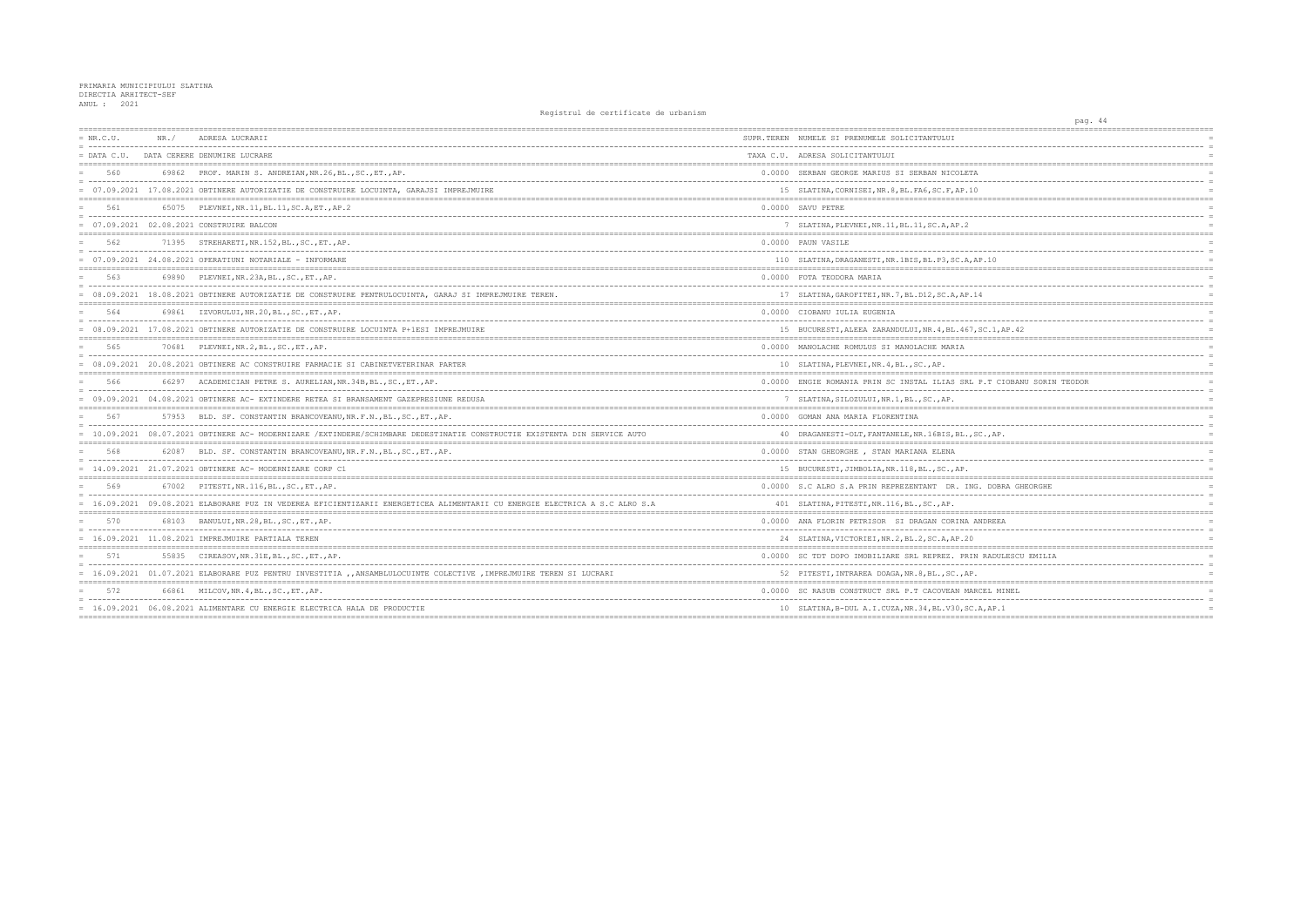| $= NR.C.U.$ | NR. / | ADRESA LUCRARII                                                                                                             | SUPR.TEREN NUMELE SI PRENUMELE SOLICITANTULUI           |
|-------------|-------|-----------------------------------------------------------------------------------------------------------------------------|---------------------------------------------------------|
|             |       | = DATA C.U. DATA CERERE DENUMIRE LUCRARE                                                                                    | TAXA C.U. ADRESA SOLICITANTULUI                         |
| 560         |       | 69862 PROF. MARIN S. ANDREIAN, NR. 26, BL., SC., ET., AP.                                                                   | 0.0000 SERBAN GEORGE MARIUS SI SERBAN NICOLETA          |
|             |       | = 07.09.2021 17.08.2021 OBTINERE AUTORIZATIE DE CONSTRUIRE LOCUINTA, GARAJSI IMPREJMUIRE                                    | 15 SLATINA, CORNISEI, NR. 8, BL. FA6, SC. F, AP. 10     |
| 561         |       | 65075 PLEVNEI, NR. 11, BL. 11, SC. A, ET., AP. 2                                                                            | 0.0000 SAVU PETRE                                       |
|             |       | 07.09.2021 02.08.2021 CONSTRUIRE BALCON                                                                                     | 7 SLATINA, PLEVNEI, NR. 11, BL. 11, SC. A, AP. 2        |
| 562         |       | 71395 STREHARETI, NR. 152, BL., SC., ET., AP.                                                                               | 0.0000 PAUN VASILE                                      |
|             |       | $= 07.09.2021$ 24.08.2021 OPERATIUNI NOTARIALE - INFORMARE                                                                  | 110 SLATINA, DRAGANESTI, NR. 1BIS, BL. P3, SC. A, AP. 1 |
| 563         |       | 69890 PLEVNEI, NR. 23A, BL., SC., ET., AP.                                                                                  | 0.0000 FOTA TEODORA MARIA                               |
|             |       | = 08.09.2021 18.08.2021 OBTINERE AUTORIZATIE DE CONSTRUIRE PENTRULOCUINTA, GARAJ SI IMPREJMUIRE TEREN.                      | 17 SLATINA, GAROFITEI, NR. 7, BL. D12, SC. A, AP. 14    |
| 564         |       | 69861 IZVORULUI, NR.20, BL., SC., ET., AP.                                                                                  | 0.0000 CIOBANU IULIA EUGENIA                            |
|             |       | 08.09.2021 17.08.2021 OBTINERE AUTORIZATIE DE CONSTRUIRE LOCUINTA P+1ESI IMPREJMUIRE                                        | 15 BUCURESTI, ALEEA ZARANDULUI, NR. 4, BL. 467, SC.     |
| 565         |       | 70681 PLEVNEI, NR. 2, BL., SC., ET., AP.                                                                                    | 0.0000 MANOLACHE ROMULUS SI MANOLACHE MARIA             |
|             |       | = 08.09.2021 20.08.2021 OBTINERE AC CONSTRUIRE FARMACIE SI CABINETVETERINAR PARTER                                          | 10 SLATINA, PLEVNEI, NR. 4, BL., SC., AP.               |
| 566         |       | 66297 ACADEMICIAN PETRE S. AURELIAN, NR. 34B, BL., SC., ET., AP.                                                            | 0.0000 ENGIE ROMANIA PRIN SC INSTAL ILIAS SRL P.T       |
|             |       | = 09.09.2021 04.08.2021 OBTINERE AC- EXTINDERE RETEA SI BRANSAMENT GAZEPRESIUNE REDUSA                                      | 7 SLATINA, SILOZULUI, NR. 1, BL., SC., AP.              |
| 567         |       | 57953 BLD. SF. CONSTANTIN BRANCOVEANU, NR. F. N., BL., SC., ET., AP.                                                        | 0.0000 GOMAN ANA MARIA FLORENTINA                       |
|             |       | = 10.09.2021 08.07.2021 OBTINERE AC- MODERNIZARE /EXTINDERE/SCHIMBARE DEDESTINATIE CONSTRUCTIE EXISTENTA DIN SERVICE AUTO   | 40 DRAGANESTI-OLT, FANTANELE, NR.16BIS, BL., SC.,       |
| 568         |       | 62087 BLD. SF. CONSTANTIN BRANCOVEANU, NR.F.N., BL., SC., ET., AP.                                                          | 0.0000 STAN GHEORGHE , STAN MARIANA ELENA               |
|             |       | $= 14.09.2021$ 21.07.2021 OBTINERE AC- MODERNIZARE CORP C1                                                                  | 15 BUCURESTI, JIMBOLIA, NR. 118, BL., SC., AP.          |
| 569         |       | 67002 PITESTI, NR. 116, BL., SC., ET., AP.                                                                                  | 0.0000 S.C ALRO S.A PRIN REPREZENTANT DR. ING. D        |
|             |       | = 16.09.2021 09.08.2021 ELABORARE PUZ IN VEDEREA EFICIENTIZARII ENERGETICEA ALIMENTARII CU ENERGIE ELECTRICA A S.C ALRO S.A | 401 SLATINA, PITESTI, NR. 116, BL., SC., AP.            |
| 570         |       | 68103 BANULUI, NR. 28, BL., SC., ET., AP.                                                                                   | 0.0000 ANA FLORIN PETRISOR SI DRAGAN CORINA ANDR        |
|             |       | $= 16.09.2021$ 11.08.2021 IMPREJMUIRE PARTIALA TEREN                                                                        | 24 SLATINA, VICTORIEI, NR. 2, BL. 2, SC. A, AP. 20      |
| 571         |       | 55835 CIREASOV, NR. 31E, BL., SC., ET., AP.                                                                                 | 0.0000 SC TDT DOPO IMOBILIARE SRL REPREZ. PRIN RA       |
|             |       | = 16.09.2021 01.07.2021 ELABORARE PUZ PENTRU INVESTITIA ,, ANSAMBLULOCUINTE COLECTIVE , IMPREJMUIRE TEREN SI LUCRARI        | 52 PITESTI, INTRAREA DOAGA, NR. 8, BL., SC., AP.        |
| 572         |       | 66861 MILCOV, NR. 4, BL., SC., ET., AP.                                                                                     | 0.0000 SC RASUB CONSTRUCT SRL P.T CACOVEAN MARCEL       |
|             |       | = 16.09.2021 06.08.2021 ALIMENTARE CU ENERGIE ELECTRICA HALA DE PRODUCTIE                                                   | 10 SLATINA, B-DUL A.I.CUZA, NR.34, BL.V30, SC.A, A      |
|             |       |                                                                                                                             |                                                         |

| pag. 44                                                         |          |
|-----------------------------------------------------------------|----------|
|                                                                 |          |
|                                                                 |          |
|                                                                 |          |
|                                                                 |          |
|                                                                 |          |
|                                                                 | $=$      |
|                                                                 | $=$      |
|                                                                 |          |
|                                                                 | $=$      |
|                                                                 | $=$      |
|                                                                 |          |
|                                                                 |          |
|                                                                 |          |
| .10                                                             |          |
|                                                                 |          |
|                                                                 |          |
|                                                                 | $\equiv$ |
| ======                                                          |          |
|                                                                 |          |
| .                                                               |          |
| SC.1, AP.42                                                     |          |
|                                                                 |          |
|                                                                 |          |
|                                                                 |          |
|                                                                 |          |
| P.T CIOBANU SORIN TEODOR                                        |          |
|                                                                 |          |
|                                                                 |          |
|                                                                 |          |
|                                                                 |          |
| --------                                                        |          |
| $\mathbb{C}$ ., AP.                                             |          |
|                                                                 |          |
|                                                                 | $\equiv$ |
|                                                                 |          |
|                                                                 |          |
| DOBRA GHEORGHE                                                  |          |
|                                                                 |          |
|                                                                 |          |
|                                                                 |          |
| VDREEA                                                          |          |
|                                                                 |          |
|                                                                 |          |
| RADULESCU EMILIA                                                |          |
|                                                                 | $=$      |
|                                                                 |          |
|                                                                 |          |
| CEL MINEL                                                       |          |
| $-$                                                             |          |
| 4, AP.1<br>------------------------------------<br>------------ | $\equiv$ |
|                                                                 |          |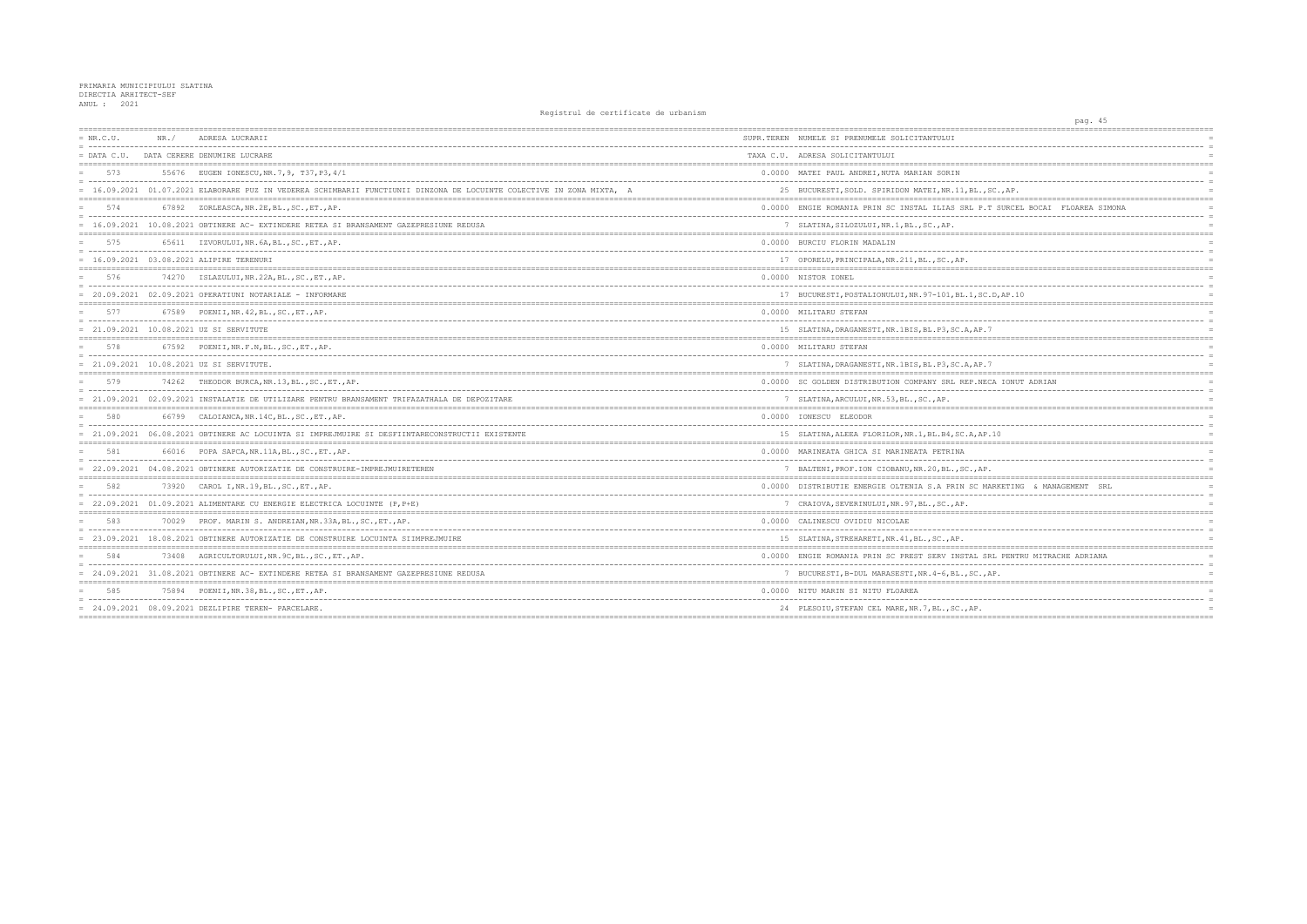| $= NR.C.U.$ | NR. / | ADRESA LUCRARII                                                                                                       | SUPR. TEREN NUMELE SI PRENUMELE SOLICITANTULUI       |
|-------------|-------|-----------------------------------------------------------------------------------------------------------------------|------------------------------------------------------|
|             |       | = DATA C.U. DATA CERERE DENUMIRE LUCRARE                                                                              | TAXA C.U. ADRESA SOLICITANTULUI                      |
| 573         |       | 55676 EUGEN IONESCU, NR. 7, 9, T37, P3, 4/1                                                                           | 0.0000 MATEI PAUL ANDREI, NUTA MARIAN SORIN          |
|             |       | = 16.09.2021 01.07.2021 ELABORARE PUZ IN VEDEREA SCHIMBARII FUNCTIUNII DINZONA DE LOCUINTE COLECTIVE IN ZONA MIXTA, A | 25 BUCURESTI, SOLD. SPIRIDON MATEI, NR.11, BL.,      |
| 574         |       | 67892 ZORLEASCA, NR. 2E, BL., SC., ET., AP.                                                                           | 0.0000 ENGIE ROMANIA PRIN SC INSTAL ILIAS SRL P.     |
|             |       | 16.09.2021 10.08.2021 OBTINERE AC- EXTINDERE RETEA SI BRANSAMENT GAZEPRESIUNE REDUSA                                  | 7 SLATINA, SILOZULUI, NR. 1, BL., SC., AP.           |
| 575         |       | 65611 IZVORULUI, NR. 6A, BL., SC., ET., AP.                                                                           | 0.0000 BURCIU FLORIN MADALIN                         |
|             |       | = 16.09.2021 03.08.2021 ALIPIRE TERENURI                                                                              | 17 OPORELU, PRINCIPALA, NR. 211, BL., SC., AP.       |
| 576         |       | 74270 ISLAZULUI, NR. 22A, BL., SC., ET., AP.                                                                          | 0.0000 NISTOR IONEL                                  |
|             |       | $= 20.09.2021 02.09.2021$ OPERATIUNI NOTARIALE - INFORMARE                                                            | 17 BUCURESTI, POSTALIONULUI, NR. 97-101, BL. 1, SO   |
| 577         |       | 67589 POENII, NR. 42, BL., SC., ET., AP.                                                                              | 0.0000 MILITARU STEFAN                               |
|             |       | = 21.09.2021 10.08.2021 UZ SI SERVITUTE                                                                               | 15 SLATINA, DRAGANESTI, NR. 1BIS, BL. P3, SC. A, AP. |
| 578         |       | 67592 POENII, NR.F.N, BL., SC., ET., AP.                                                                              | 0.0000 MILITARU STEFAN                               |
|             |       | = 21.09.2021 10.08.2021 UZ SI SERVITUTE.                                                                              | 7 SLATINA, DRAGANESTI, NR.1BIS, BL.P3, SC.A, AP.     |
| 579         |       | 74262 THEODOR BURCA, NR.13, BL., SC., ET., AP.                                                                        | 0.0000 SC GOLDEN DISTRIBUTION COMPANY SRL REP.NE     |
|             |       | = 21.09.2021 02.09.2021 INSTALATIE DE UTILIZARE PENTRU BRANSAMENT TRIFAZATHALA DE DEPOZITARE                          | 7 SLATINA, ARCULUI, NR. 53, BL., SC., AP.            |
| 580         |       | 66799 CALOIANCA, NR. 14C, BL., SC., ET., AP.                                                                          | 0.0000 IONESCU ELEODOR                               |
|             |       | = 21.09.2021 06.08.2021 OBTINERE AC LOCUINTA SI IMPREJMUIRE SI DESFIINTARECONSTRUCTII EXISTENTE                       | 15 SLATINA, ALEEA FLORILOR, NR. 1, BL. B4, SC. A, AE |
| 581         |       | 66016 POPA SAPCA, NR. 11A, BL., SC., ET., AP.                                                                         | 0.0000 MARINEATA GHICA SI MARINEATA PETRINA          |
|             |       | = 22.09.2021 04.08.2021 OBTINERE AUTORIZATIE DE CONSTRUIRE-IMPREJMUIRETEREN                                           | 7 BALTENI, PROF. ION CIOBANU, NR. 20, BL., SC., AB   |
| 582         |       | 73920 CAROL I, NR. 19, BL., SC., ET., AP.                                                                             | 0.0000 DISTRIBUTIE ENERGIE OLTENIA S.A PRIN SC N     |
|             |       | $= 22.09.2021 01.09.2021$ ALIMENTARE CU ENERGIE ELECTRICA LOCUINTE (P, P+E)                                           | 7 CRAIOVA, SEVERINULUI, NR. 97, BL., SC., AP.        |
| 583         |       | 70029 PROF. MARIN S. ANDREIAN, NR.33A, BL., SC., ET., AP.                                                             | 0.0000 CALINESCU OVIDIU NICOLAE                      |
|             |       | = 23.09.2021 18.08.2021 OBTINERE AUTORIZATIE DE CONSTRUIRE LOCUINTA SIIMPREJMUIRE                                     | 15 SLATINA, STREHARETI, NR. 41, BL., SC., AP.        |
| 584         |       | 73408 AGRICULTORULUI, NR. 9C, BL., SC., ET., AP.                                                                      | 0.0000 ENGIE ROMANIA PRIN SC PREST SERV INSTAL S     |
|             |       | = 24.09.2021 31.08.2021 OBTINERE AC- EXTINDERE RETEA SI BRANSAMENT GAZEPRESIUNE REDUSA                                | 7 BUCURESTI, B-DUL MARASESTI, NR. 4-6, BL., SC.,     |
| 585         |       | 75894 POENII, NR. 38, BL., SC., ET., AP.                                                                              | 0.0000 NITU MARIN SI NITU FLOAREA                    |
|             |       | $= 24.09.2021 08.09.2021$ DEZLIPIRE TEREN- PARCELARE.                                                                 | 24 PLESOIU, STEFAN CEL MARE, NR. 7, BL., SC., AP.    |
|             |       |                                                                                                                       |                                                      |

| pag. 45                         |            |
|---------------------------------|------------|
|                                 |            |
|                                 | $=$        |
|                                 |            |
|                                 |            |
|                                 | $=$        |
| ------                          | $=$        |
| SC., AP.                        |            |
|                                 |            |
| T SURCEL BOCAI FLOAREA SIMONA   | $=$        |
|                                 | $=$        |
|                                 | $=$        |
|                                 | $=$        |
|                                 | $=$        |
|                                 | $=$        |
|                                 |            |
|                                 | $=$        |
| .D, AP.10                       | $=$        |
|                                 |            |
|                                 | $=$        |
|                                 |            |
| 7                               | $=$        |
|                                 |            |
|                                 |            |
|                                 | $=$        |
| 7                               | $=$        |
| CA IONUT ADRIAN                 |            |
|                                 | $=$        |
|                                 | $=$        |
|                                 |            |
|                                 |            |
|                                 | $=$        |
| .10                             |            |
|                                 | $=$        |
|                                 | $=$        |
|                                 | $=$        |
|                                 |            |
| ARKETING & MANAGEMENT<br>SRL    | $=$        |
|                                 | $=$        |
|                                 | $=$        |
|                                 |            |
|                                 |            |
|                                 | $=$<br>$=$ |
|                                 |            |
| RL PENTRU MITRACHE ADRIANA      | $=$        |
| ------------------------------- | $=$        |
| AP.                             |            |
|                                 |            |
|                                 | $=$        |
|                                 | $=$        |
|                                 | $=$        |
|                                 |            |